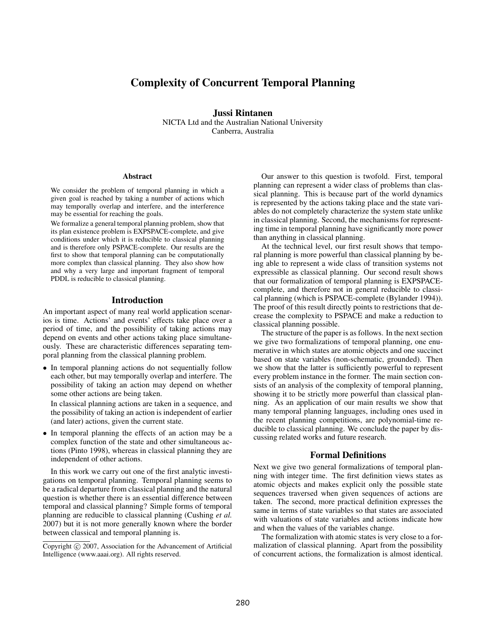# Complexity of Concurrent Temporal Planning

Jussi Rintanen NICTA Ltd and the Australian National University Canberra, Australia

#### **Abstract**

We consider the problem of temporal planning in which a given goal is reached by taking a number of actions which may temporally overlap and interfere, and the interference may be essential for reaching the goals.

We formalize a general temporal planning problem, show that its plan existence problem is EXPSPACE-complete, and give conditions under which it is reducible to classical planning and is therefore only PSPACE-complete. Our results are the first to show that temporal planning can be computationally more complex than classical planning. They also show how and why a very large and important fragment of temporal PDDL is reducible to classical planning.

### Introduction

An important aspect of many real world application scenarios is time. Actions' and events' effects take place over a period of time, and the possibility of taking actions may depend on events and other actions taking place simultaneously. These are characteristic differences separating temporal planning from the classical planning problem.

• In temporal planning actions do not sequentially follow each other, but may temporally overlap and interfere. The possibility of taking an action may depend on whether some other actions are being taken.

In classical planning actions are taken in a sequence, and the possibility of taking an action is independent of earlier (and later) actions, given the current state.

• In temporal planning the effects of an action may be a complex function of the state and other simultaneous actions (Pinto 1998), whereas in classical planning they are independent of other actions.

In this work we carry out one of the first analytic investigations on temporal planning. Temporal planning seems to be a radical departure from classical planning and the natural question is whether there is an essential difference between temporal and classical planning? Simple forms of temporal planning are reducible to classical planning (Cushing *et al.* 2007) but it is not more generally known where the border between classical and temporal planning is.

Our answer to this question is twofold. First, temporal planning can represent a wider class of problems than classical planning. This is because part of the world dynamics is represented by the actions taking place and the state variables do not completely characterize the system state unlike in classical planning. Second, the mechanisms for representing time in temporal planning have significantly more power than anything in classical planning.

At the technical level, our first result shows that temporal planning is more powerful than classical planning by being able to represent a wide class of transition systems not expressible as classical planning. Our second result shows that our formalization of temporal planning is EXPSPACEcomplete, and therefore not in general reducible to classical planning (which is PSPACE-complete (Bylander 1994)). The proof of this result directly points to restrictions that decrease the complexity to PSPACE and make a reduction to classical planning possible.

The structure of the paper is as follows. In the next section we give two formalizations of temporal planning, one enumerative in which states are atomic objects and one succinct based on state variables (non-schematic, grounded). Then we show that the latter is sufficiently powerful to represent every problem instance in the former. The main section consists of an analysis of the complexity of temporal planning, showing it to be strictly more powerful than classical planning. As an application of our main results we show that many temporal planning languages, including ones used in the recent planning competitions, are polynomial-time reducible to classical planning. We conclude the paper by discussing related works and future research.

# Formal Definitions

Next we give two general formalizations of temporal planning with integer time. The first definition views states as atomic objects and makes explicit only the possible state sequences traversed when given sequences of actions are taken. The second, more practical definition expresses the same in terms of state variables so that states are associated with valuations of state variables and actions indicate how and when the values of the variables change.

The formalization with atomic states is very close to a formalization of classical planning. Apart from the possibility of concurrent actions, the formalization is almost identical.

Copyright  $\odot$  2007, Association for the Advancement of Artificial Intelligence (www.aaai.org). All rights reserved.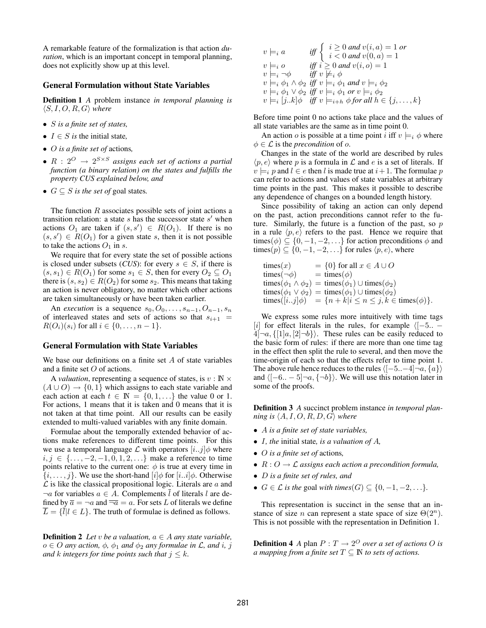A remarkable feature of the formalization is that action *duration*, which is an important concept in temporal planning, does not explicitly show up at this level.

#### General Formulation without State Variables

Definition 1 *A* problem instance *in temporal planning is*  $\langle S, I, O, R, G \rangle$  where

- S *is a finite set of states,*
- $I \in S$  *is* the initial state,
- O *is a finite set of* actions*,*
- $R: 2^O \rightarrow 2^{S \times S}$  assigns each set of actions a partial *function (a binary relation) on the states and fulfills the property CUS explained below, and*
- $G \subseteq S$  *is the set of* goal states.

The function  $R$  associates possible sets of joint actions a transition relation: a state  $s$  has the successor state  $s'$  when actions  $O_1$  are taken if  $(s, s') \in R(O_1)$ . If there is no  $(s, s') \in R(O_1)$  for a given state s, then it is not possible to take the actions  $O_1$  in s.

We require that for every state the set of possible actions is closed under subsets (*CUS*): for every  $s \in S$ , if there is  $(s, s_1) \in R(O_1)$  for some  $s_1 \in S$ , then for every  $O_2 \subseteq O_1$ there is  $(s, s_2) \in R(O_2)$  for some  $s_2$ . This means that taking an action is never obligatory, no matter which other actions are taken simultaneously or have been taken earlier.

An *execution* is a sequence  $s_0, O_0, \ldots, s_{n-1}, O_{n-1}, s_n$ of interleaved states and sets of actions so that  $s_{i+1}$  =  $R(O_i)(s_i)$  for all  $i \in \{0, ..., n-1\}.$ 

### General Formulation with State Variables

We base our definitions on a finite set  $A$  of state variables and a finite set O of actions.

A *valuation*, representing a sequence of states, is  $v : \mathbb{N} \times$  $(A \cup O) \rightarrow \{0, 1\}$  which assigns to each state variable and each action at each  $t \in \mathbb{N} = \{0, 1, \ldots\}$  the value 0 or 1. For actions, 1 means that it is taken and 0 means that it is not taken at that time point. All our results can be easily extended to multi-valued variables with any finite domain.

Formulae about the temporally extended behavior of actions make references to different time points. For this we use a temporal language  $\mathcal L$  with operators  $[i..j]$  where  $i, j \in \{..., -2, -1, 0, 1, 2, ...\}$  make a reference to time points relative to the current one:  $\phi$  is true at every time in  $\{i, \ldots, j\}$ . We use the short-hand  $[i] \phi$  for  $[i..i] \phi$ . Otherwise  $\mathcal L$  is like the classical propositional logic. Literals are  $a$  and  $\neg a$  for variables  $a \in A$ . Complements  $\overline{l}$  of literals l are defined by  $\overline{a} = \neg a$  and  $\overline{\neg a} = a$ . For sets L of literals we define  $\overline{L} = {\overline{l}} | l \in L$ . The truth of formulae is defined as follows.

**Definition 2** Let *v* be a valuation,  $a \in A$  any state variable,  $o \in O$  *any action,*  $\phi$ ,  $\phi_1$  *and*  $\phi_2$  *any formulae in L*, *and i*, *j and* k integers for time points such that  $j \leq k$ .

$$
v \models_i a \quad \text{iff} \begin{cases} i \geq 0 \text{ and } v(i, a) = 1 \text{ or} \\ i < 0 \text{ and } v(0, a) = 1 \end{cases}
$$
  
\n
$$
v \models_i o \quad \text{iff} \quad i \geq 0 \text{ and } v(i, o) = 1
$$
  
\n
$$
v \models_i \neg \phi \quad \text{iff} \quad v \not\models_i \phi
$$
  
\n
$$
v \models_i \phi_1 \land \phi_2 \text{ iff } v \models_i \phi_1 \text{ and } v \models_i \phi_2
$$
  
\n
$$
v \models_i \phi_1 \lor \phi_2 \text{ iff } v \models_i \phi_1 \text{ or } v \models_i \phi_2
$$
  
\n
$$
v \models_i [j..k] \phi \text{ iff } v \models_{i+h} \phi \text{ for all } h \in \{j, \dots, k\}
$$

Before time point 0 no actions take place and the values of all state variables are the same as in time point 0.

An action *o* is possible at a time point *i* iff  $v \models_i \phi$  where  $\phi \in \mathcal{L}$  is the *precondition* of o.

Changes in the state of the world are described by rules  $\langle p, e \rangle$  where p is a formula in  $\mathcal L$  and e is a set of literals. If  $v \models_i p$  and  $l \in e$  then l is made true at  $i+1$ . The formulae p can refer to actions and values of state variables at arbitrary time points in the past. This makes it possible to describe any dependence of changes on a bounded length history.

Since possibility of taking an action can only depend on the past, action preconditions cannot refer to the future. Similarly, the future is a function of the past, so  $p$ in a rule  $\langle p, e \rangle$  refers to the past. Hence we require that times( $\phi$ )  $\subseteq$  {0, -1, -2, ...} for action preconditions  $\phi$  and times( $p$ )  $\subseteq$  {0, -1, -2, ...} for rules  $\langle p, e \rangle$ , where

$$
\begin{array}{ll}\n\text{times}(x) & = \{0\} \text{ for all } x \in A \cup O \\
\text{times}(\neg \phi) & = \text{times}(\phi) \\
\text{times}(\phi_1 \land \phi_2) & = \text{times}(\phi_1) \cup \text{times}(\phi_2) \\
\text{times}(\phi_1 \lor \phi_2) & = \text{times}(\phi_1) \cup \text{times}(\phi_2) \\
\text{times}([i..j]\phi) & = \{n + k | i \le n \le j, k \in \text{times}(\phi)\}.\n\end{array}
$$

We express some rules more intuitively with time tags [i] for effect literals in the rules, for example  $\langle [-5.. -1]$  $4\lceil -a, \{1a, [2]-b\} \rangle$ . These rules can be easily reduced to the basic form of rules: if there are more than one time tag in the effect then split the rule to several, and then move the time-origin of each so that the effects refer to time point 1. The above rule hence reduces to the rules  $\langle [-5..-4]\neg a, \{a\}\rangle$ and  $\langle [-6.. - 5] \neg a, \{\neg b\} \rangle$ . We will use this notation later in some of the proofs.

Definition 3 *A* succinct problem instance *in temporal plan-* $\mathit{ning}$  is  $\langle A, I, O, R, D, G \rangle$  where

- A *is a finite set of state variables,*
- I*, the* initial state*, is a valuation of* A*,*
- O *is a finite set of* actions*,*
- $R: O \rightarrow \mathcal{L}$  assigns each action a precondition formula,
- D *is a finite set of rules, and*
- $G \in \mathcal{L}$  *is the goal with times* $(G) \subseteq \{0, -1, -2, \ldots\}.$

This representation is succinct in the sense that an instance of size *n* can represent a state space of size  $\Theta(2^n)$ . This is not possible with the representation in Definition 1.

**Definition 4** *A* plan  $P: T \rightarrow 2^O$  *over a set of actions O is a mapping from a finite set*  $T \subseteq \mathbb{N}$  *to sets of actions.*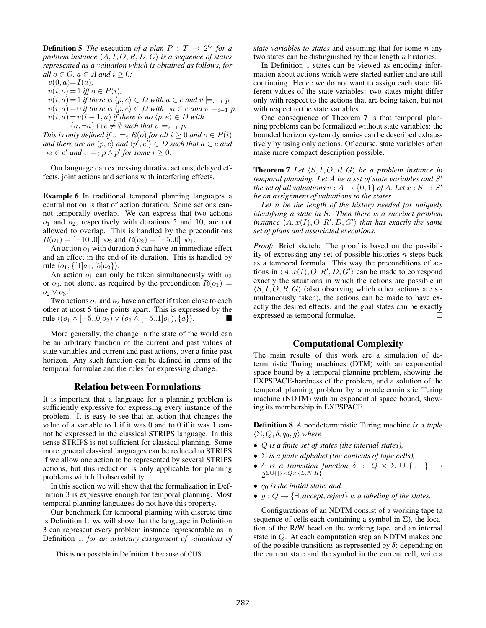**Definition 5** *The* execution *of a plan*  $P : T \rightarrow 2^O$  *for a problem instance*  $\langle A, I, O, R, D, G \rangle$  *is a sequence of states represented as a valuation which is obtained as follows, for all*  $o \in O$ *,*  $a \in A$  *and*  $i \geq 0$ *:* 

 $v(0, a) = I(a)$ ,

- $v(i, o) = 1$  *iff*  $o \in P(i)$ ,
- $v(i, a) = 1$  *if there is*  $\langle p, e \rangle \in D$  *with*  $a \in e$  *and*  $v \models_{i-1} p$ ,<br> $v(i, a) = 0$  *if there is*  $\langle p, e \rangle \in D$  *with*  $\exists a \in e$  *and*  $v \models_{i-1} v$ .  $v(i, a) = 0$  *if there is*  $\langle p, e \rangle \in D$  *with*  $\neg a \in e$  *and*  $v \models_{i-1} p$ ,<br> $v(i, a) = v(i-1, a)$  *if there is no*  $\langle n, e \rangle \in D$  *with*  $v(i, a) = v(i - 1, a)$  *if there is no*  $\langle p, e \rangle \in D$  *with*
- ${a, \neg a} \cap e \neq \emptyset$  such that  $v \models_{i-1} p$ .<br>  $x \downarrow b$  *defined* if  $v \models P(c)$  for all  $i > 0$ .

*This is only defined if*  $v \models_i R(o)$  *for all*  $i \geq 0$  *and*  $o \in P(i)$ and there are no  $\langle p, e \rangle$  and  $\langle p', e' \rangle \in D$  such that  $a \in e$  and  $\neg a \in e'$  and  $v \models_i p \land p'$  for some  $i \geq 0$ .

Our language can expressing durative actions, delayed effects, joint actions and actions with interfering effects.

Example 6 In traditional temporal planning languages a central notion is that of action duration. Some actions cannot temporally overlap. We can express that two actions  $o_1$  and  $o_2$ , respectively with durations 5 and 10, are not allowed to overlap. This is handled by the preconditions  $R(o_1)=[-10..0]\neg o_2$  and  $R(o_2)=[-5..0]\neg o_1$ .

An action  $o_1$  with duration 5 can have an immediate effect and an effect in the end of its duration. This is handled by rule  $\langle o_1, \{ [1]a_1, [5]a_2 \} \rangle$ .

An action  $o_1$  can only be taken simultaneously with  $o_2$ or  $o_3$ , not alone, as required by the precondition  $R(o_1)$  =  $o_2 \vee o_3$ <sup>1</sup>

Two actions  $o_1$  and  $o_2$  have an effect if taken close to each other at most 5 time points apart. This is expressed by the rule  $\langle (o_1 \wedge [-5..0]o_2) \vee (o_2 \wedge [-5..1]o_1), \{a\} \rangle.$   $\blacksquare$ 

More generally, the change in the state of the world can be an arbitrary function of the current and past values of state variables and current and past actions, over a finite past horizon. Any such function can be defined in terms of the temporal formulae and the rules for expressing change.

### Relation between Formulations

It is important that a language for a planning problem is sufficiently expressive for expressing every instance of the problem. It is easy to see that an action that changes the value of a variable to 1 if it was 0 and to 0 if it was 1 cannot be expressed in the classical STRIPS language. In this sense STRIPS is not sufficient for classical planning. Some more general classical languages can be reduced to STRIPS if we allow one action to be represented by several STRIPS actions, but this reduction is only applicable for planning problems with full observability.

In this section we will show that the formalization in Definition 3 is expressive enough for temporal planning. Most temporal planning languages do not have this property.

Our benchmark for temporal planning with discrete time is Definition 1: we will show that the language in Definition 3 can represent every problem instance representable as in Definition 1, *for an arbitrary assignment of valuations of* *state variables to states* and assuming that for some *n* any two states can be distinguished by their length  $n$  histories.

In Definition 1 states can be viewed as encoding information about actions which were started earlier and are still continuing. Hence we do not want to assign each state different values of the state variables: two states might differ only with respect to the actions that are being taken, but not with respect to the state variables.

One consequence of Theorem 7 is that temporal planning problems can be formalized without state variables: the bounded horizon system dynamics can be described exhaustively by using only actions. Of course, state variables often make more compact description possible.

**Theorem 7** Let  $\langle S, I, O, R, G \rangle$  be a problem instance in *temporal planning. Let A be a set of state variables and S' the set of all valuations*  $v : A \rightarrow \{0, 1\}$  *of A. Let*  $x : S \rightarrow S'$ *be an assignment of valuations to the states.*

*Let* n *be the length of the history needed for uniquely identifying a state in* S*. Then there is a succinct problem* instance  $\langle A, x(I), O, R', D, G'\rangle$  that has exactly the same *set of plans and associated executions.*

*Proof:* Brief sketch: The proof is based on the possibility of expressing any set of possible histories  $n$  steps back as a temporal formula. This way the preconditions of actions in  $\langle A, x(I), O, R', D, G' \rangle$  can be made to correspond exactly the situations in which the actions are possible in  $\langle S, I, O, R, G \rangle$  (also observing which other actions are simultaneously taken), the actions can be made to have exactly the desired effects, and the goal states can be exactly expressed as temporal formulae.

# Computational Complexity

The main results of this work are a simulation of deterministic Turing machines (DTM) with an exponential space bound by a temporal planning problem, showing the EXPSPACE-hardness of the problem, and a solution of the temporal planning problem by a nondeterministic Turing machine (NDTM) with an exponential space bound, showing its membership in EXPSPACE.

Definition 8 *A* nondeterministic Turing machine *is a tuple*  $\langle \Sigma, Q, \delta, q_0, g \rangle$  where

- Q *is a finite set of states (the internal states),*
- Σ *is a finite alphabet (the contents of tape cells),*
- $\delta$  *is a transition function*  $\delta$  :  $Q \times \Sigma \cup \{ |, \Box \}$   $\rightarrow$  $2^{\sum \cup \{|\}\times Q \times \{L,N,R\}}$
- q<sup>0</sup> *is the initial state, and*
- $\bullet$  *g* : *Q* → { $\exists$ , *accept*, *reject*} *is a labeling of the states.*

Configurations of an NDTM consist of a working tape (a sequence of cells each containing a symbol in  $\Sigma$ ), the location of the R/W head on the working tape, and an internal state in Q. At each computation step an NDTM makes one of the possible transitions as represented by  $\delta$ : depending on the current state and the symbol in the current cell, write a

<sup>&</sup>lt;sup>1</sup>This is not possible in Definition 1 because of CUS.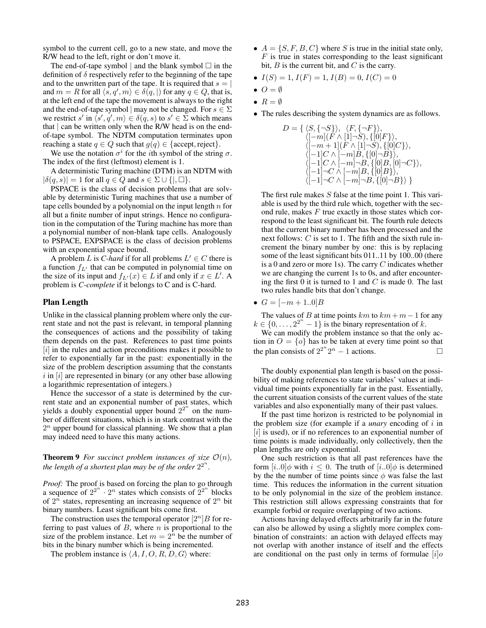symbol to the current cell, go to a new state, and move the R/W head to the left, right or don't move it.

The end-of-tape symbol  $\vert$  and the blank symbol  $\Box$  in the definition of  $\delta$  respectively refer to the beginning of the tape and to the unwritten part of the tape. It is required that  $s = |$ and  $m = R$  for all  $\langle s, q', m \rangle \in \delta(q, |)$  for any  $q \in Q$ , that is, at the left end of the tape the movement is always to the right and the end-of-tape symbol | may not be changed. For  $s \in \Sigma$ we restrict s' in  $\langle s', q', m \rangle \in \delta(q, s)$  to  $s' \in \Sigma$  which means that | can be written only when the R/W head is on the endof-tape symbol. The NDTM computation terminates upon reaching a state  $q \in Q$  such that  $g(q) \in \{\text{accept}, \text{reject}\}.$ 

We use the notation  $\sigma^i$  for the *i*th symbol of the string  $\sigma$ . The index of the first (leftmost) element is 1.

A deterministic Turing machine (DTM) is an NDTM with  $|\delta(q, s)| = 1$  for all  $q \in Q$  and  $s \in \Sigma \cup \{ |, \square \}.$ 

PSPACE is the class of decision problems that are solvable by deterministic Turing machines that use a number of tape cells bounded by a polynomial on the input length  $n$  for all but a finite number of input strings. Hence no configuration in the computation of the Turing machine has more than a polynomial number of non-blank tape cells. Analogously to PSPACE, EXPSPACE is the class of decision problems with an exponential space bound.

A problem *L* is *C-hard* if for all problems  $L' \in C$  there is a function  $f_{L'}$  that can be computed in polynomial time on<br>the size of its input and  $f_{L}(x) \in L$  if and only if  $x \in L'$ . the size of its input and  $f_{L'}(x) \in L$  if and only if  $x \in L'$ . A<br>problem is C counlate if it belongs to C and is C hard problem is *C-complete* if it belongs to C and is C-hard.

# Plan Length

Unlike in the classical planning problem where only the current state and not the past is relevant, in temporal planning the consequences of actions and the possibility of taking them depends on the past. References to past time points [i] in the rules and action preconditions makes it possible to refer to exponentially far in the past: exponentially in the size of the problem description assuming that the constants  $i$  in  $[i]$  are represented in binary (or any other base allowing a logarithmic representation of integers.)

Hence the successor of a state is determined by the current state and an exponential number of past states, which yields a doubly exponential upper bound  $2^{2^n}$  on the number of different situations, which is in stark contrast with the  $2<sup>n</sup>$  upper bound for classical planning. We show that a plan may indeed need to have this many actions.

# **Theorem 9** *For succinct problem instances of size*  $\mathcal{O}(n)$ *, the length of a shortest plan may be of the order*  $2^{2^n}$ *.*

*Proof:* The proof is based on forcing the plan to go through a sequence of  $2^{2^n} \cdot 2^n$  states which consists of  $2^{2^n}$  blocks of  $2^n$  states, representing an increasing sequence of  $2^n$  bit binary numbers. Least significant bits come first.

The construction uses the temporal operator  $[2^n]B$  for referring to past values of  $B$ , where  $n$  is proportional to the size of the problem instance. Let  $m = 2<sup>n</sup>$  be the number of bits in the binary number which is being incremented.

The problem instance is  $\langle A, I, O, R, D, G \rangle$  where:

- $A = \{S, F, B, C\}$  where S is true in the initial state only,  $F$  is true in states corresponding to the least significant bit,  $B$  is the current bit, and  $C$  is the carry.
- $I(S)=1, I(F)=1, I(B)=0, I(C)=0$
- $O = \emptyset$
- $R = \emptyset$
- The rules describing the system dynamics are as follows.

$$
D = \{ \langle S, \{-S\} \rangle, \langle F, \{-F\} \rangle, \\ \langle [-m](F \wedge [1] \neg S), \{[0]F\} \rangle, \\ \langle [-m+1](F \wedge [1] \neg S), \{[0]C\} \rangle, \\ \langle [-1]C \wedge [-m]B, \{[0] \neg B\} \rangle, \\ \langle [-1]C \wedge [-m] \neg B, \{[0]B, [0] \neg C\} \rangle, \\ \langle [-1] \neg C \wedge [-m]B, \{[0]B\} \rangle, \\ \langle [-1] \neg C \wedge [-m] \neg B, \{[0] \neg B\} \rangle \}
$$

The first rule makes  $S$  false at the time point 1. This variable is used by the third rule which, together with the second rule, makes  $F$  true exactly in those states which correspond to the least significant bit. The fourth rule detects that the current binary number has been processed and the next follows:  $C$  is set to 1. The fifth and the sixth rule increment the binary number by one: this is by replacing some of the least significant bits 011..11 by 100..00 (there is a 0 and zero or more 1s). The carry  $C$  indicates whether we are changing the current 1s to 0s, and after encountering the first 0 it is turned to 1 and  $C$  is made 0. The last two rules handle bits that don't change.

•  $G = [-m + 1.0]B$ 

The values of B at time points  $km$  to  $km + m - 1$  for any  $k \in \{0, \ldots, 2^{2^n} - 1\}$  is the binary representation of k.

We can modify the problem instance so that the only action in  $O = \{o\}$  has to be taken at every time point so that the plan consists of  $2^{2^n} 2^n - 1$  actions. the plan consists of  $2^{2^n} 2^n - 1$  actions.

The doubly exponential plan length is based on the possibility of making references to state variables' values at individual time points exponentially far in the past. Essentially, the current situation consists of the current values of the state variables and also exponentially many of their past values.

If the past time horizon is restricted to be polynomial in the problem size (for example if a *unary* encoding of i in  $[i]$  is used), or if no references to an exponential number of time points is made individually, only collectively, then the plan lengths are only exponential.

One such restriction is that all past references have the form  $[i..0]$  $\phi$  with  $i \leq 0$ . The truth of  $[i..0]$  $\phi$  is determined by the the number of time points since  $\phi$  was false the last time. This reduces the information in the current situation to be only polynomial in the size of the problem instance. This restriction still allows expressing constraints that for example forbid or require overlapping of two actions.

Actions having delayed effects arbitrarily far in the future can also be allowed by using a slightly more complex combination of constraints: an action with delayed effects may not overlap with another instance of itself and the effects are conditional on the past only in terms of formulae  $[i]_0$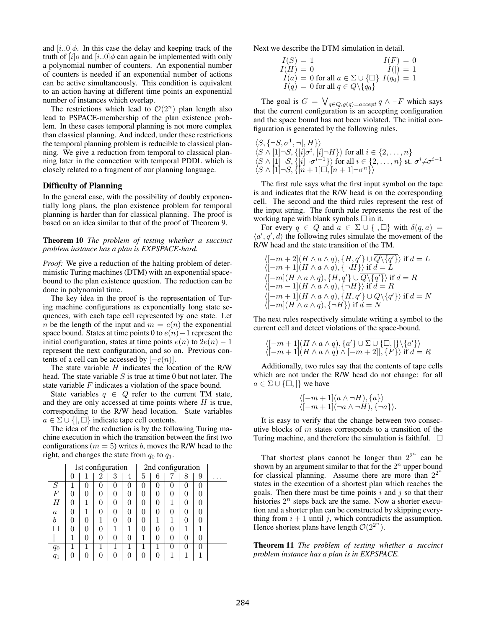and  $[i..0]\phi$ . In this case the delay and keeping track of the truth of  $[i]$ o and  $[i..0]$  $\phi$  can again be implemented with only a polynomial number of counters. An exponential number of counters is needed if an exponential number of actions can be active simultaneously. This condition is equivalent to an action having at different time points an exponential number of instances which overlap.

The restrictions which lead to  $\mathcal{O}(2^n)$  plan length also lead to PSPACE-membership of the plan existence problem. In these cases temporal planning is not more complex than classical planning. And indeed, under these restrictions the temporal planning problem is reducible to classical planning. We give a reduction from temporal to classical planning later in the connection with temporal PDDL which is closely related to a fragment of our planning language.

#### Difficulty of Planning

In the general case, with the possibility of doubly exponentially long plans, the plan existence problem for temporal planning is harder than for classical planning. The proof is based on an idea similar to that of the proof of Theorem 9.

Theorem 10 *The problem of testing whether a succinct problem instance has a plan is EXPSPACE-hard.*

*Proof:* We give a reduction of the halting problem of deterministic Turing machines (DTM) with an exponential spacebound to the plan existence question. The reduction can be done in polynomial time.

The key idea in the proof is the representation of Turing machine configurations as exponentially long state sequences, with each tape cell represented by one state. Let n be the length of the input and  $m = e(n)$  the exponential space bound. States at time points 0 to  $e(n)$  – 1 represent the initial configuration, states at time points  $e(n)$  to  $2e(n) - 1$ represent the next configuration, and so on. Previous contents of a cell can be accessed by  $[-e(n)]$ .

The state variable  $H$  indicates the location of the R/W head. The state variable  $S$  is true at time 0 but not later. The state variable F indicates a violation of the space bound.

State variables  $q \in Q$  refer to the current TM state, and they are only accessed at time points where  $H$  is true, corresponding to the R/W head location. State variables  $a \in \Sigma \cup \{|\}$  indicate tape cell contents.

The idea of the reduction is by the following Turing machine execution in which the transition between the first two configurations ( $m = 5$ ) writes b, moves the R/W head to the right, and changes the state from  $q_0$  to  $q_1$ .

|                  | 1st configuration |        |          |          |          | 2nd configuration |   |              |              |   |   |
|------------------|-------------------|--------|----------|----------|----------|-------------------|---|--------------|--------------|---|---|
|                  | $\theta$          | 1      | 2        | 3        | 4        | 5                 | 6 |              | 8            | 9 | . |
| S                |                   | $_{0}$ | $\theta$ | $\theta$ | 0        | 0                 | 0 | 0            | $\mathbf{0}$ |   |   |
| $\boldsymbol{F}$ | 0                 | 0      | 0        | 0        | 0        | 0                 | 0 |              |              |   |   |
| H                | 0                 | 1      | 0        | 0        | 0        | 0                 | 0 |              |              |   |   |
| $\boldsymbol{a}$ | 0                 |        | $\theta$ | $\theta$ | $^{(1)}$ | 0                 | 0 | $\mathbf{0}$ | 0            |   |   |
| b                | 0                 | 0      | 1        | 0        | 0        | 0                 |   |              |              |   |   |
|                  | 0                 | 0      | 0        |          | 1        | 0                 | 0 | $\Omega$     |              |   |   |
|                  |                   | 0      | 0        | 0        | 0        |                   | 0 | 0            |              |   |   |
| $q_0$            |                   |        |          |          |          |                   |   | $\mathbf{0}$ |              |   |   |
| $q_{1}$          | 0                 |        | ⋂        | O        | 0        | O                 |   |              |              |   |   |

Next we describe the DTM simulation in detail.

$$
I(S) = 1
$$
  
\n
$$
I(H) = 0
$$
  
\n
$$
I(a) = 0 \text{ for all } a \in \Sigma \cup \{\Box\} \ I(q_0) = 1
$$
  
\n
$$
I(q) = 0 \text{ for all } q \in Q \setminus \{q_0\}
$$

The goal is  $G = \bigvee_{q \in Q, g(q) = accept q} q \wedge \neg F$  which says that the current configuration is an accepting configuration and the space bound has not been violated. The initial configuration is generated by the following rules.

 $\langle S, \{\neg S, \sigma^1, \neg |, H\} \rangle$  $\langle S \wedge [1] \neg S, \{ [i] \sigma^i, [i] \neg H \} \rangle$  for all  $i \in \{2, \ldots, n\}$  $\langle S \wedge [1] \neg S, \{[i] \neg \sigma^{i-1}\} \rangle$  for all  $i \in \{2, \ldots, n\}$  st.  $\sigma^i \neq \sigma^{i-1}$  $\langle S \wedge [1] \neg S, \{[n+1] \Box, [n+1] \neg \sigma^n \} \rangle$ 

The first rule says what the first input symbol on the tape is and indicates that the R/W head is on the corresponding cell. The second and the third rules represent the rest of the input string. The fourth rule represents the rest of the working tape with blank symbols  $\Box$  in it.

For every  $q \in Q$  and  $a \in \Sigma \cup \{|\Box\}$  with  $\delta(q, a) =$  $\langle a', q', d \rangle$  the following rules simulate the movement of the R/W head and the state transition of the TM.

 $\langle$  $[-m+2](H \wedge a \wedge q), \{H, q'\} \cup Q \setminus \{q'\}\}\$  if  $d = L$  $\langle [-m+1](H \wedge a \wedge q), \{\neg H\}\rangle$  if  $d = L$  $\langle [-m](H \wedge a \wedge q), \{H, q'\} \cup Q \setminus \{q'\}\rangle$  if  $d = R$  $\langle [-m-1](H \wedge a \wedge q), \{\neg H\} \rangle$  if  $\underline{d=R}$  $\langle [-m+1](H \wedge a \wedge q), \{H, q'\} \cup Q \rangle \{q'\}\rangle$  if  $d = N$  $\langle [-m](H \wedge a \wedge q), \{\neg H\}\rangle$  if  $d = N$ 

The next rules respectively simulate writing a symbol to the current cell and detect violations of the space-bound.

$$
\langle [-m+1](H \wedge a \wedge q), \{a'\} \cup \Sigma \cup \{\square, \} \setminus \{a'\} \rangle
$$
  

$$
\langle [-m+1](H \wedge a \wedge q) \wedge [-m+2]], \{F\} \rangle \text{ if } d = R
$$

Additionally, two rules say that the contents of tape cells which are not under the R/W head do not change: for all  $a \in \Sigma \cup \{\Box, \Box\}$  we have

$$
\langle [-m+1](a \wedge \neg H), \{a\} \rangle \langle [-m+1](\neg a \wedge \neg H), \{\neg a\} \rangle.
$$

It is easy to verify that the change between two consecutive blocks of  $m$  states corresponds to a transition of the Turing machine, and therefore the simulation is faithful.  $\Box$ 

That shortest plans cannot be longer than  $2^{2^n}$  can be shown by an argument similar to that for the  $2^n$  upper bound for classical planning. Assume there are more than  $2^{2^n}$ states in the execution of a shortest plan which reaches the goals. Then there must be time points  $i$  and  $j$  so that their histories  $2^n$  steps back are the same. Now a shorter execution and a shorter plan can be constructed by skipping everything from  $i + 1$  until j, which contradicts the assumption. Hence shortest plans have length  $\mathcal{O}(2^{2^n})$ .

Theorem 11 *The problem of testing whether a succinct problem instance has a plan is in EXPSPACE.*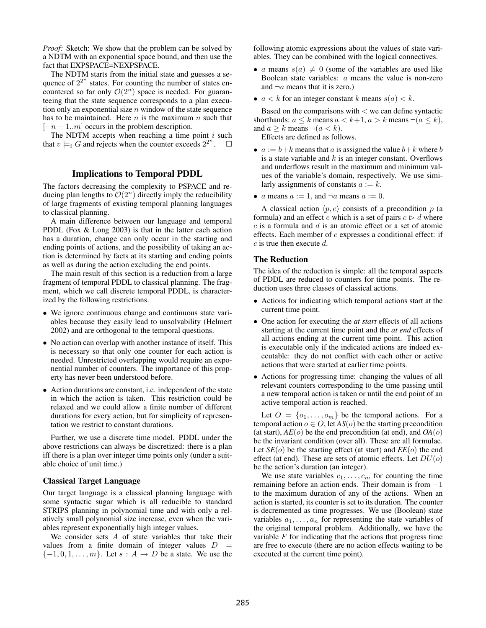*Proof:* Sketch: We show that the problem can be solved by a NDTM with an exponential space bound, and then use the fact that EXPSPACE=NEXPSPACE.

The NDTM starts from the initial state and guesses a sequence of  $2^{2^n}$  states. For counting the number of states encountered so far only  $\mathcal{O}(2^n)$  space is needed. For guaranteeing that the state sequence corresponds to a plan execution only an exponential size  $n$  window of the state sequence has to be maintained. Here  $n$  is the maximum  $n$  such that  $[-n-1..m]$  occurs in the problem description.

The NDTM accepts when reaching a time point  $i$  such that  $v \models_i G$  and rejects when the counter exceeds  $2^{2^n}$ .  $\Box$ 

# Implications to Temporal PDDL

The factors decreasing the complexity to PSPACE and reducing plan lengths to  $\mathcal{O}(2^n)$  directly imply the reducibility of large fragments of existing temporal planning languages to classical planning.

A main difference between our language and temporal PDDL (Fox & Long 2003) is that in the latter each action has a duration, change can only occur in the starting and ending points of actions, and the possibility of taking an action is determined by facts at its starting and ending points as well as during the action excluding the end points.

The main result of this section is a reduction from a large fragment of temporal PDDL to classical planning. The fragment, which we call discrete temporal PDDL, is characterized by the following restrictions.

- We ignore continuous change and continuous state variables because they easily lead to unsolvability (Helmert 2002) and are orthogonal to the temporal questions.
- No action can overlap with another instance of itself. This is necessary so that only one counter for each action is needed. Unrestricted overlapping would require an exponential number of counters. The importance of this property has never been understood before.
- Action durations are constant, i.e. independent of the state in which the action is taken. This restriction could be relaxed and we could allow a finite number of different durations for every action, but for simplicity of representation we restrict to constant durations.

Further, we use a discrete time model. PDDL under the above restrictions can always be discretized: there is a plan iff there is a plan over integer time points only (under a suitable choice of unit time.)

### Classical Target Language

Our target language is a classical planning language with some syntactic sugar which is all reducible to standard STRIPS planning in polynomial time and with only a relatively small polynomial size increase, even when the variables represent exponentially high integer values.

We consider sets  $A$  of state variables that take their values from a finite domain of integer values  $D =$  $\{-1, 0, 1, \ldots, m\}$ . Let  $s : A \rightarrow D$  be a state. We use the following atomic expressions about the values of state variables. They can be combined with the logical connectives.

- a means  $s(a) \neq 0$  (some of the variables are used like Boolean state variables: a means the value is non-zero and  $\neg a$  means that it is zero.)
- $a < k$  for an integer constant k means  $s(a) < k$ .

Based on the comparisons with  $\lt$  we can define syntactic shorthands:  $a \le k$  means  $a < k+1$ ,  $a > k$  means  $\neg (a \le k)$ , and  $a > k$  means  $\neg(a < k)$ .

Effects are defined as follows.

- $a := b+k$  means that a is assigned the value  $b+k$  where b is a state variable and  $k$  is an integer constant. Overflows and underflows result in the maximum and minimum values of the variable's domain, respectively. We use similarly assignments of constants  $a := k$ .
- a means  $a := 1$ , and  $\neg a$  means  $a := 0$ .

A classical action  $\langle p, e \rangle$  consists of a precondition p (a formula) and an effect e which is a set of pairs  $c \triangleright d$  where  $c$  is a formula and  $d$  is an atomic effect or a set of atomic effects. Each member of e expresses a conditional effect: if  $c$  is true then execute  $d$ .

### The Reduction

The idea of the reduction is simple: all the temporal aspects of PDDL are reduced to counters for time points. The reduction uses three classes of classical actions.

- Actions for indicating which temporal actions start at the current time point.
- One action for executing the *at start* effects of all actions starting at the current time point and the *at end* effects of all actions ending at the current time point. This action is executable only if the indicated actions are indeed executable: they do not conflict with each other or active actions that were started at earlier time points.
- Actions for progressing time: changing the values of all relevant counters corresponding to the time passing until a new temporal action is taken or until the end point of an active temporal action is reached.

Let  $O = \{o_1, \ldots, o_m\}$  be the temporal actions. For a temporal action  $o \in O$ , let  $AS(o)$  be the starting precondition (at start),  $AE(o)$  be the end precondition (at end), and  $OA(o)$ be the invariant condition (over all). These are all formulae. Let  $SE(o)$  be the starting effect (at start) and  $EE(o)$  the end effect (at end). These are sets of atomic effects. Let  $DU(o)$ be the action's duration (an integer).

We use state variables  $c_1, \ldots, c_m$  for counting the time remaining before an action ends. Their domain is from −1 to the maximum duration of any of the actions. When an action is started, its counter is set to its duration. The counter is decremented as time progresses. We use (Boolean) state variables  $a_1, \ldots, a_n$  for representing the state variables of the original temporal problem. Additionally, we have the variable  $F$  for indicating that the actions that progress time are free to execute (there are no action effects waiting to be executed at the current time point).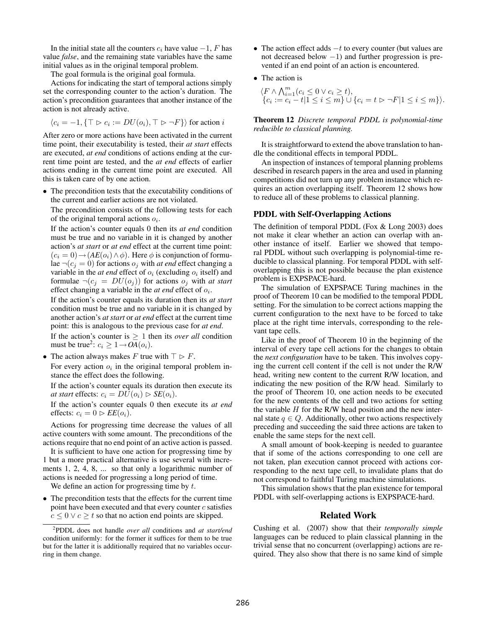In the initial state all the counters  $c_i$  have value  $-1$ , F has value *false*, and the remaining state variables have the same initial values as in the original temporal problem.

The goal formula is the original goal formula.

Actions for indicating the start of temporal actions simply set the corresponding counter to the action's duration. The action's precondition guarantees that another instance of the action is not already active.

$$
\langle c_i = -1, \{ \top \rhd c_i := DU(o_i), \top \rhd \neg F \} \rangle \text{ for action } i
$$

After zero or more actions have been activated in the current time point, their executability is tested, their *at start* effects are executed, *at end* conditions of actions ending at the current time point are tested, and the *at end* effects of earlier actions ending in the current time point are executed. All this is taken care of by one action.

• The precondition tests that the executability conditions of the current and earlier actions are not violated.

The precondition consists of the following tests for each of the original temporal actions  $o_i$ .

If the action's counter equals 0 then its *at end* condition must be true and no variable in it is changed by another action's *at start* or *at end* effect at the current time point:  $(c_i = 0) \rightarrow (AE(o_i) \land \phi)$ . Here  $\phi$  is conjunction of formulae  $\neg(c_j = 0)$  for actions  $o_j$  with *at end* effect changing a variable in the *at end* effect of  $o_i$  (excluding  $o_i$  itself) and formulae  $\neg(c_j = DU(o_j))$  for actions  $o_j$  with *at start* effect changing a variable in the  $at$  end effect of  $o_i$ .

If the action's counter equals its duration then its *at start* condition must be true and no variable in it is changed by another action's *at start* or *at end* effect at the current time point: this is analogous to the previous case for *at end*.

If the action's counter is  $\geq 1$  then its *over all* condition must be true<sup>2</sup>:  $c_i \geq 1 \rightarrow OA(o_i)$ .

• The action always makes F true with  $\top \rhd F$ .

For every action  $o_i$  in the original temporal problem instance the effect does the following.

If the action's counter equals its duration then execute its *at start* effects:  $c_i = DU(o_i) \triangleright SE(o_i)$ .

If the action's counter equals 0 then execute its *at end* effects:  $c_i = 0 \triangleright E E(o_i)$ .

Actions for progressing time decrease the values of all active counters with some amount. The preconditions of the actions require that no end point of an active action is passed.

It is sufficient to have one action for progressing time by 1 but a more practical alternative is use several with increments 1, 2, 4, 8, ... so that only a logarithmic number of actions is needed for progressing a long period of time.

We define an action for progressing time by  $t$ .

• The precondition tests that the effects for the current time point have been executed and that every counter  $c$  satisfies  $c \leq 0 \vee c \geq t$  so that no action end points are skipped.

- The action effect adds  $-t$  to every counter (but values are not decreased below −1) and further progression is prevented if an end point of an action is encountered.
- The action is

$$
\langle F \wedge \bigwedge_{i=1}^{m} (c_i \leq 0 \vee c_i \geq t),
$$
  
\n
$$
\{c_i := c_i - t | 1 \leq i \leq m\} \cup \{c_i = t \vartriangleright \neg F | 1 \leq i \leq m\}\rangle.
$$

Theorem 12 *Discrete temporal PDDL is polynomial-time reducible to classical planning.*

It is straightforward to extend the above translation to handle the conditional effects in temporal PDDL.

An inspection of instances of temporal planning problems described in research papers in the area and used in planning competitions did not turn up any problem instance which requires an action overlapping itself. Theorem 12 shows how to reduce all of these problems to classical planning.

### PDDL with Self-Overlapping Actions

The definition of temporal PDDL (Fox & Long 2003) does not make it clear whether an action can overlap with another instance of itself. Earlier we showed that temporal PDDL without such overlapping is polynomial-time reducible to classical planning. For temporal PDDL with selfoverlapping this is not possible because the plan existence problem is EXPSPACE-hard.

The simulation of EXPSPACE Turing machines in the proof of Theorem 10 can be modified to the temporal PDDL setting. For the simulation to be correct actions mapping the current configuration to the next have to be forced to take place at the right time intervals, corresponding to the relevant tape cells.

Like in the proof of Theorem 10 in the beginning of the interval of every tape cell actions for the changes to obtain the *next configuration* have to be taken. This involves copying the current cell content if the cell is not under the R/W head, writing new content to the current R/W location, and indicating the new position of the R/W head. Similarly to the proof of Theorem 10, one action needs to be executed for the new contents of the cell and two actions for setting the variable  $H$  for the R/W head position and the new internal state  $q \in Q$ . Additionally, other two actions respectively preceding and succeeding the said three actions are taken to enable the same steps for the next cell.

A small amount of book-keeping is needed to guarantee that if some of the actions corresponding to one cell are not taken, plan execution cannot proceed with actions corresponding to the next tape cell, to invalidate plans that do not correspond to faithful Turing machine simulations.

This simulation shows that the plan existence for temporal PDDL with self-overlapping actions is EXPSPACE-hard.

### Related Work

Cushing et al. (2007) show that their *temporally simple* languages can be reduced to plain classical planning in the trivial sense that no concurrent (overlapping) actions are required. They also show that there is no same kind of simple

<sup>2</sup> PDDL does not handle *over all* conditions and *at start/end* condition uniformly: for the former it suffices for them to be true but for the latter it is additionally required that no variables occurring in them change.